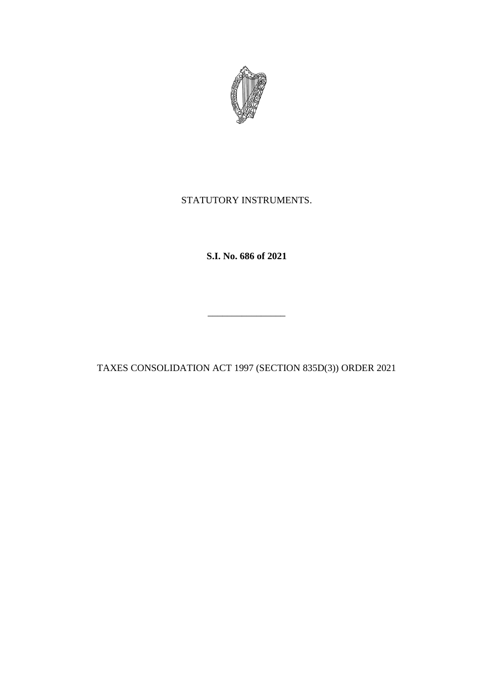

## STATUTORY INSTRUMENTS.

**S.I. No. 686 of 2021**

TAXES CONSOLIDATION ACT 1997 (SECTION 835D(3)) ORDER 2021

\_\_\_\_\_\_\_\_\_\_\_\_\_\_\_\_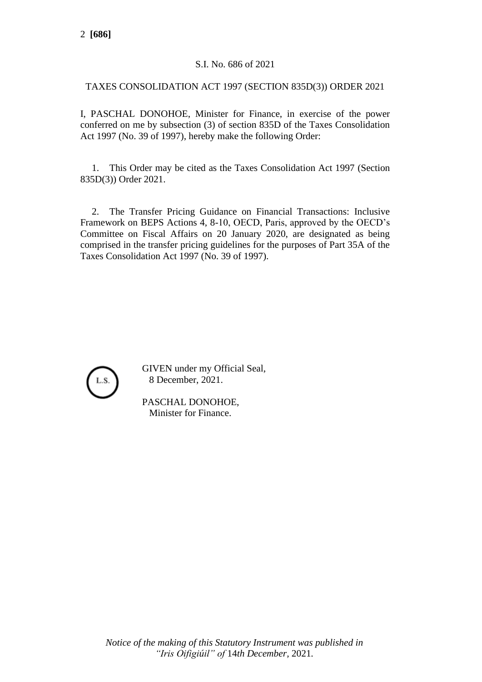## S.I. No. 686 of 2021

## TAXES CONSOLIDATION ACT 1997 (SECTION 835D(3)) ORDER 2021

I, PASCHAL DONOHOE, Minister for Finance, in exercise of the power conferred on me by subsection (3) of section 835D of the Taxes Consolidation Act 1997 (No. 39 of 1997), hereby make the following Order:

1. This Order may be cited as the Taxes Consolidation Act 1997 (Section 835D(3)) Order 2021.

2. The Transfer Pricing Guidance on Financial Transactions: Inclusive Framework on BEPS Actions 4, 8-10, OECD, Paris, approved by the OECD's Committee on Fiscal Affairs on 20 January 2020, are designated as being comprised in the transfer pricing guidelines for the purposes of Part 35A of the Taxes Consolidation Act 1997 (No. 39 of 1997).



GIVEN under my Official Seal, 8 December, 2021.

PASCHAL DONOHOE, Minister for Finance.